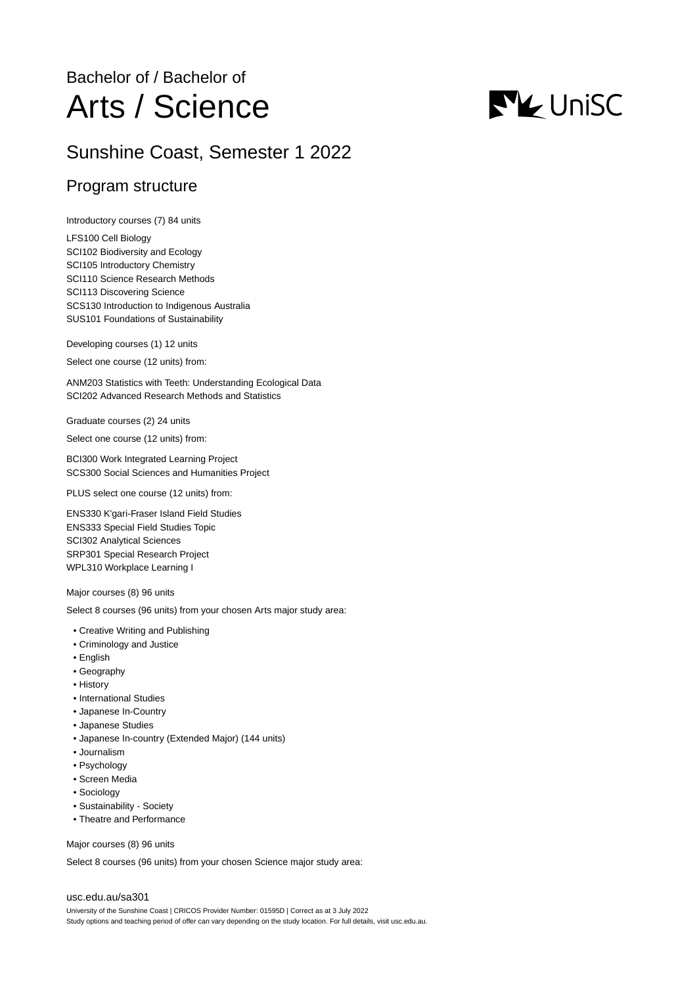## Bachelor of / Bachelor of Arts / Science

# **NV** UniSC

## Sunshine Coast, Semester 1 2022

## Program structure

Introductory courses (7) 84 units

LFS100 Cell Biology SCI102 Biodiversity and Ecology SCI105 Introductory Chemistry SCI110 Science Research Methods SCI113 Discovering Science SCS130 Introduction to Indigenous Australia SUS101 Foundations of Sustainability

Developing courses (1) 12 units

Select one course (12 units) from:

ANM203 Statistics with Teeth: Understanding Ecological Data SCI202 Advanced Research Methods and Statistics

Graduate courses (2) 24 units

Select one course (12 units) from:

BCI300 Work Integrated Learning Project SCS300 Social Sciences and Humanities Project

PLUS select one course (12 units) from:

ENS330 K'gari-Fraser Island Field Studies ENS333 Special Field Studies Topic SCI302 Analytical Sciences SRP301 Special Research Project WPL310 Workplace Learning I

Major courses (8) 96 units

Select 8 courses (96 units) from your chosen Arts major study area:

- Creative Writing and Publishing
- Criminology and Justice
- English
- Geography
- History
- International Studies
- Japanese In-Country
- Japanese Studies
- Japanese In-country (Extended Major) (144 units)
- Journalism
- Psychology
- Screen Media
- Sociology
- Sustainability Society
- Theatre and Performance

Major courses (8) 96 units

Select 8 courses (96 units) from your chosen Science major study area:

#### [usc.edu.au/sa301](https://www.usc.edu.au/sa301)

University of the Sunshine Coast | CRICOS Provider Number: 01595D | Correct as at 3 July 2022 Study options and teaching period of offer can vary depending on the study location. For full details, visit usc.edu.au.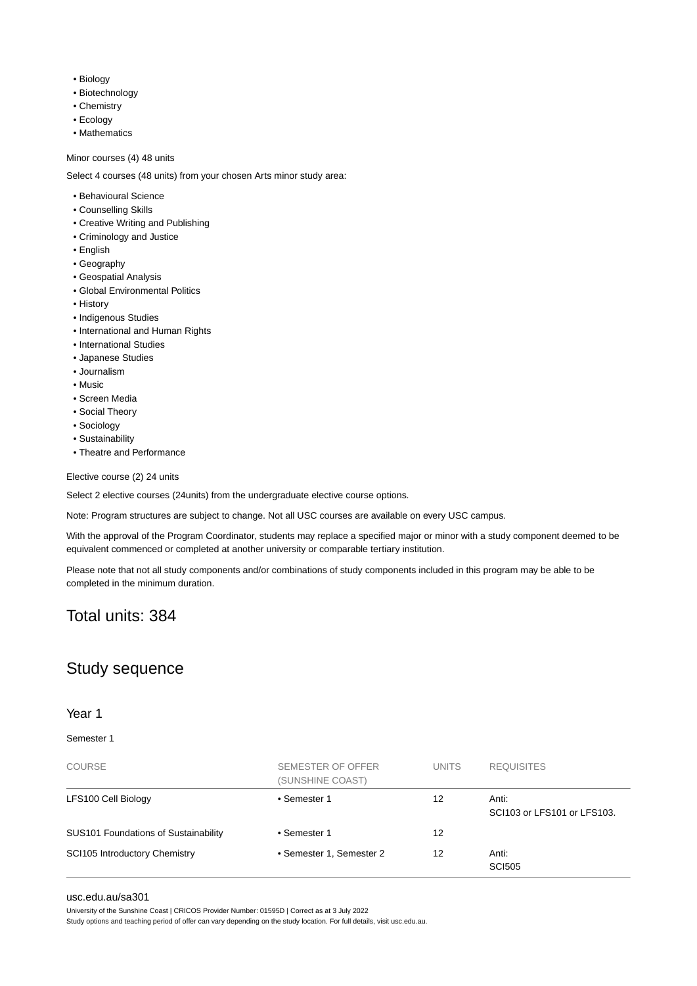- Biology
- Biotechnology
- Chemistry
- Ecology
- Mathematics

#### Minor courses (4) 48 units

Select 4 courses (48 units) from your chosen Arts minor study area:

- Behavioural Science
- Counselling Skills
- Creative Writing and Publishing
- Criminology and Justice
- English
- Geography
- Geospatial Analysis
- Global Environmental Politics
- History
- Indigenous Studies
- International and Human Rights
- International Studies
- Japanese Studies
- Journalism
- Music
- Screen Media
- Social Theory
- Sociology
- Sustainability
- Theatre and Performance

Elective course (2) 24 units

Select 2 elective courses (24units) from the undergraduate elective course options.

Note: Program structures are subject to change. Not all USC courses are available on every USC campus.

With the approval of the Program Coordinator, students may replace a specified major or minor with a study component deemed to be equivalent commenced or completed at another university or comparable tertiary institution.

Please note that not all study components and/or combinations of study components included in this program may be able to be completed in the minimum duration.

## Total units: 384

## Study sequence

#### Year 1

#### Semester 1

| <b>COURSE</b>                        | SEMESTER OF OFFER<br>(SUNSHINE COAST) | <b>UNITS</b> | <b>REQUISITES</b>                    |
|--------------------------------------|---------------------------------------|--------------|--------------------------------------|
| LFS100 Cell Biology                  | • Semester 1                          | 12           | Anti:<br>SCI103 or LFS101 or LFS103. |
| SUS101 Foundations of Sustainability | • Semester 1                          | 12           |                                      |
| <b>SCI105 Introductory Chemistry</b> | • Semester 1, Semester 2              | 12           | Anti:<br><b>SCI505</b>               |

#### [usc.edu.au/sa301](https://www.usc.edu.au/sa301)

University of the Sunshine Coast | CRICOS Provider Number: 01595D | Correct as at 3 July 2022

Study options and teaching period of offer can vary depending on the study location. For full details, visit usc.edu.au.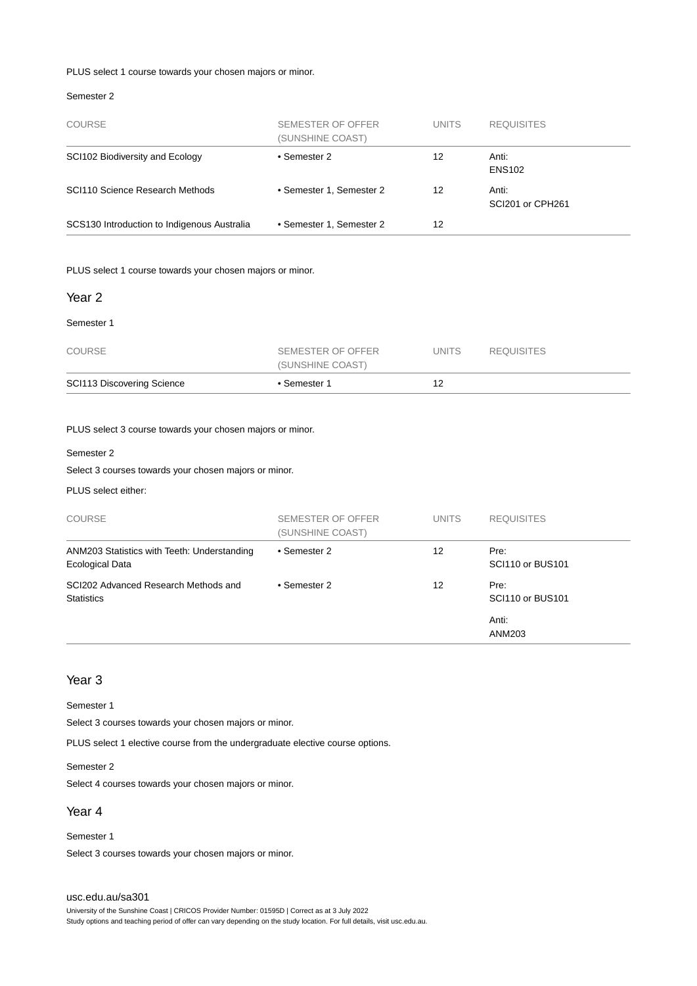#### PLUS select 1 course towards your chosen majors or minor.

#### Semester 2

| <b>COURSE</b>                               | SEMESTER OF OFFER<br>(SUNSHINE COAST) | <b>UNITS</b> | <b>REQUISITES</b>         |
|---------------------------------------------|---------------------------------------|--------------|---------------------------|
| SCI102 Biodiversity and Ecology             | • Semester 2                          | 12           | Anti:<br><b>ENS102</b>    |
| SCI110 Science Research Methods             | • Semester 1, Semester 2              | 12           | Anti:<br>SCI201 or CPH261 |
| SCS130 Introduction to Indigenous Australia | • Semester 1. Semester 2              | 12           |                           |

PLUS select 1 course towards your chosen majors or minor.

#### Year 2

#### Semester 1

| <b>COURSE</b>              | SEMESTER OF OFFER<br>(SUNSHINE COAST) | UNITS | <b>REQUISITES</b> |
|----------------------------|---------------------------------------|-------|-------------------|
| SCI113 Discovering Science | • Semester 1                          |       |                   |

#### PLUS select 3 course towards your chosen majors or minor.

#### Semester 2

Select 3 courses towards your chosen majors or minor.

#### PLUS select either:

| <b>COURSE</b>                                                         | SEMESTER OF OFFER<br>(SUNSHINE COAST) | <b>UNITS</b> | <b>REQUISITES</b>        |
|-----------------------------------------------------------------------|---------------------------------------|--------------|--------------------------|
| ANM203 Statistics with Teeth: Understanding<br><b>Ecological Data</b> | • Semester 2                          | 12           | Pre:<br>SCI110 or BUS101 |
| SCI202 Advanced Research Methods and<br><b>Statistics</b>             | • Semester 2                          | 12           | Pre:<br>SCI110 or BUS101 |
|                                                                       |                                       |              | Anti:<br>ANM203          |

#### Year 3

#### Semester 1

Select 3 courses towards your chosen majors or minor.

PLUS select 1 elective course from the undergraduate elective course options.

#### Semester 2

Select 4 courses towards your chosen majors or minor.

#### Year 4

Semester 1 Select 3 courses towards your chosen majors or minor.

#### [usc.edu.au/sa301](https://www.usc.edu.au/sa301)

University of the Sunshine Coast | CRICOS Provider Number: 01595D | Correct as at 3 July 2022 Study options and teaching period of offer can vary depending on the study location. For full details, visit usc.edu.au.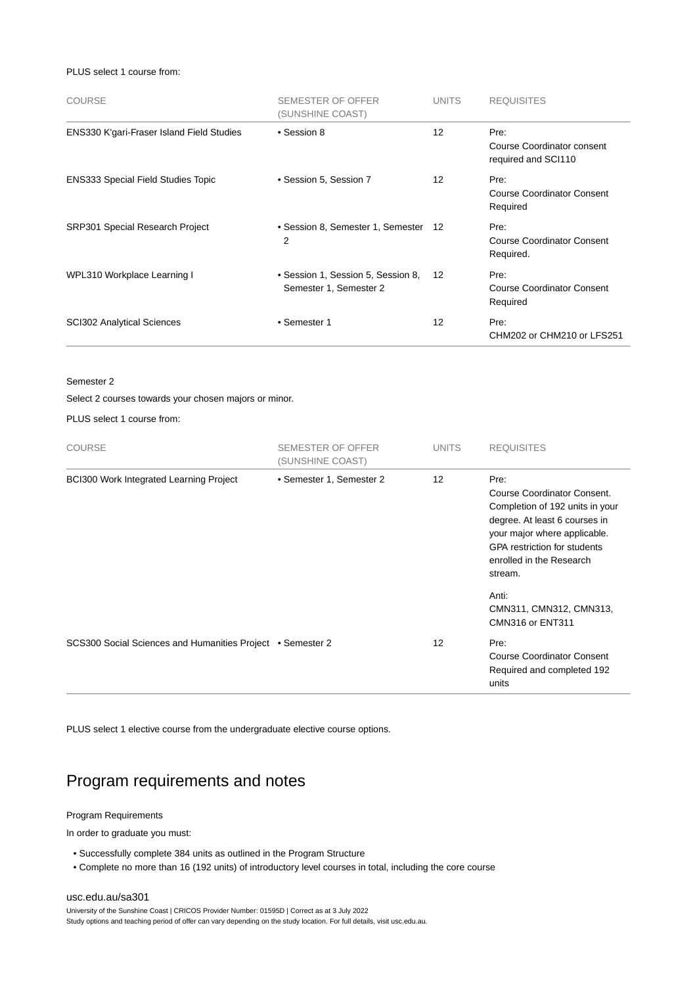PLUS select 1 course from:

| <b>COURSE</b>                             | <b>SEMESTER OF OFFER</b><br>(SUNSHINE COAST)                 | <b>UNITS</b> | <b>REQUISITES</b>                                         |
|-------------------------------------------|--------------------------------------------------------------|--------------|-----------------------------------------------------------|
| ENS330 K'gari-Fraser Island Field Studies | • Session 8                                                  | 12           | Pre:<br>Course Coordinator consent<br>required and SCI110 |
| <b>ENS333 Special Field Studies Topic</b> | • Session 5, Session 7                                       | 12           | Pre:<br><b>Course Coordinator Consent</b><br>Required     |
| SRP301 Special Research Project           | • Session 8, Semester 1, Semester 12<br>2                    |              | Pre:<br><b>Course Coordinator Consent</b><br>Required.    |
| WPL310 Workplace Learning I               | • Session 1, Session 5, Session 8,<br>Semester 1, Semester 2 | 12           | Pre:<br><b>Course Coordinator Consent</b><br>Required     |
| <b>SCI302 Analytical Sciences</b>         | • Semester 1                                                 | 12           | Pre:<br>CHM202 or CHM210 or LFS251                        |

Semester 2

Select 2 courses towards your chosen majors or minor.

PLUS select 1 course from:

| <b>COURSE</b>                                              | SEMESTER OF OFFER<br>(SUNSHINE COAST) | <b>UNITS</b> | <b>REQUISITES</b>                                                                                                                                                                                                     |
|------------------------------------------------------------|---------------------------------------|--------------|-----------------------------------------------------------------------------------------------------------------------------------------------------------------------------------------------------------------------|
| <b>BCI300 Work Integrated Learning Project</b>             | • Semester 1, Semester 2              | 12           | Pre:<br>Course Coordinator Consent.<br>Completion of 192 units in your<br>degree. At least 6 courses in<br>your major where applicable.<br><b>GPA</b> restriction for students<br>enrolled in the Research<br>stream. |
|                                                            |                                       |              | Anti:<br>CMN311, CMN312, CMN313,<br>CMN316 or ENT311                                                                                                                                                                  |
| SCS300 Social Sciences and Humanities Project • Semester 2 |                                       | 12           | Pre:<br><b>Course Coordinator Consent</b><br>Required and completed 192<br>units                                                                                                                                      |

PLUS select 1 elective course from the undergraduate elective course options.

## Program requirements and notes

#### Program Requirements

In order to graduate you must:

- Successfully complete 384 units as outlined in the Program Structure
- Complete no more than 16 (192 units) of introductory level courses in total, including the core course

#### [usc.edu.au/sa301](https://www.usc.edu.au/sa301)

University of the Sunshine Coast | CRICOS Provider Number: 01595D | Correct as at 3 July 2022 Study options and teaching period of offer can vary depending on the study location. For full details, visit usc.edu.au.